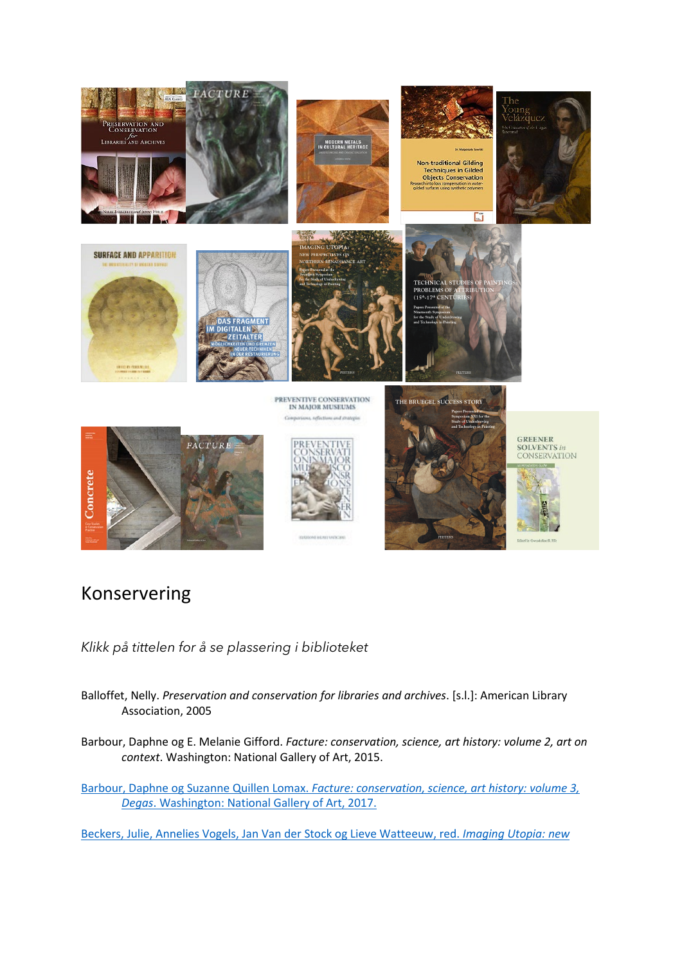

## Konservering

*Klikk på tittelen for å se plassering i biblioteket* 

- Balloffet, Nelly. *Preservation and conservation for libraries and archives*. [s.l.]: American Library Association, 2005
- Barbour, Daphne og E. Melanie Gifford. *Facture: conservation, science, art history: volume 2, art on context*. Washington: National Gallery of Art, 2015.
- Barbour, Daphne og Suzanne Quillen Lomax. *[Facture: conservation, science, art history: volume 3,](https://bibsys-almaprimo.hosted.exlibrisgroup.com/permalink/f/1n8chvd/BIBSYS_ILS71578460860002201)  Degas*[. Washington: National](https://bibsys-almaprimo.hosted.exlibrisgroup.com/permalink/f/1n8chvd/BIBSYS_ILS71578460860002201) Gallery of Art, 2017.

[Beckers, Julie, Annelies Vogels, Jan Van der Stock og Lieve Watteeuw, red.](https://bibsys-almaprimo.hosted.exlibrisgroup.com/permalink/f/1n8chvd/BIBSYS_ILS71642039270002201) *Imaging Utopia: new*